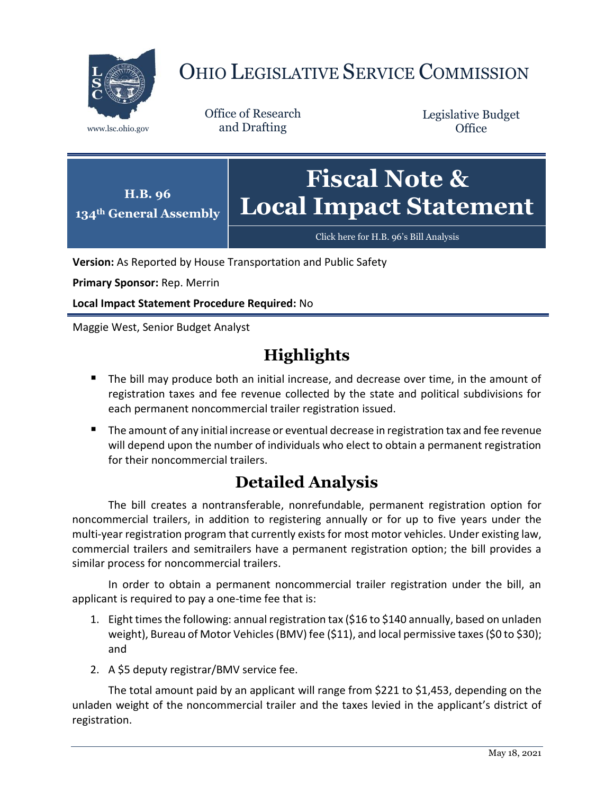

# OHIO LEGISLATIVE SERVICE COMMISSION

Office of Research www.lsc.ohio.gov and Drafting

Legislative Budget **Office** 



[Click here for H.B. 96](https://www.legislature.ohio.gov/legislation/legislation-documents?id=GA134-HB-96)'s Bill Analysis

**Version:** As Reported by House Transportation and Public Safety

**Primary Sponsor:** Rep. Merrin

**Local Impact Statement Procedure Required:** No

Maggie West, Senior Budget Analyst

## **Highlights**

- The bill may produce both an initial increase, and decrease over time, in the amount of registration taxes and fee revenue collected by the state and political subdivisions for each permanent noncommercial trailer registration issued.
- The amount of any initial increase or eventual decrease in registration tax and fee revenue will depend upon the number of individuals who elect to obtain a permanent registration for their noncommercial trailers.

## **Detailed Analysis**

The bill creates a nontransferable, nonrefundable, permanent registration option for noncommercial trailers, in addition to registering annually or for up to five years under the multi-year registration program that currently exists for most motor vehicles. Under existing law, commercial trailers and semitrailers have a permanent registration option; the bill provides a similar process for noncommercial trailers.

In order to obtain a permanent noncommercial trailer registration under the bill, an applicant is required to pay a one-time fee that is:

- 1. Eight times the following: annual registration tax (\$16 to \$140 annually, based on unladen weight), Bureau of Motor Vehicles (BMV) fee (\$11), and local permissive taxes(\$0 to \$30); and
- 2. A \$5 deputy registrar/BMV service fee.

The total amount paid by an applicant will range from \$221 to \$1,453, depending on the unladen weight of the noncommercial trailer and the taxes levied in the applicant's district of registration.